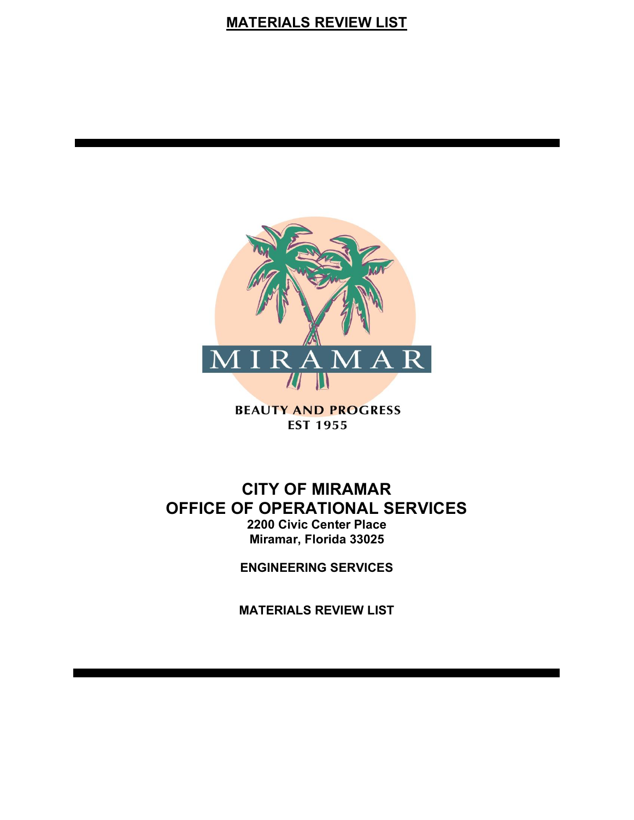# **MATERIALS REVIEW LIST**



**BEAUTY AND PROGRESS EST 1955** 

# **CITY OF MIRAMAR OFFICE OF OPERATIONAL SERVICES 2200 Civic Center Place Miramar, Florida 33025**

**ENGINEERING SERVICES**

**MATERIALS REVIEW LIST**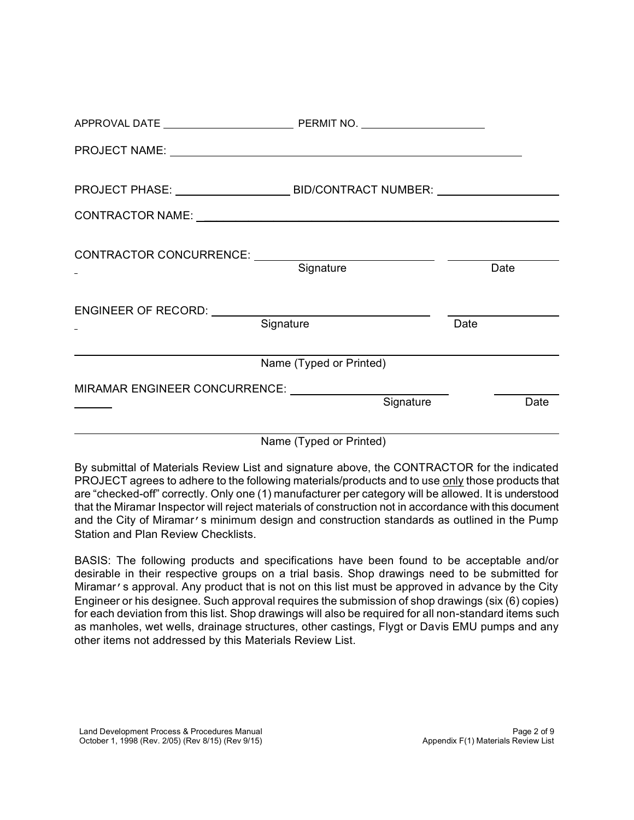| Signature                                                                                                                                                                                                                      | Date |  |
|--------------------------------------------------------------------------------------------------------------------------------------------------------------------------------------------------------------------------------|------|--|
|                                                                                                                                                                                                                                |      |  |
|                                                                                                                                                                                                                                |      |  |
|                                                                                                                                                                                                                                |      |  |
| PROJECT NAME: University of the contract of the contract of the contract of the contract of the contract of the contract of the contract of the contract of the contract of the contract of the contract of the contract of th |      |  |
|                                                                                                                                                                                                                                |      |  |

Name (Typed or Printed)

By submittal of Materials Review List and signature above, the CONTRACTOR for the indicated PROJECT agrees to adhere to the following materials/products and to use only those products that are "checked-off" correctly. Only one (1) manufacturer per category will be allowed. It is understood that the Miramar Inspector will reject materials of construction not in accordance with this document and the City of Miramar's minimum design and construction standards as outlined in the Pump Station and Plan Review Checklists.

BASIS: The following products and specifications have been found to be acceptable and/or desirable in their respective groups on a trial basis. Shop drawings need to be submitted for Miramar's approval. Any product that is not on this list must be approved in advance by the City Engineer or his designee. Such approval requires the submission of shop drawings (six (6) copies) for each deviation from this list. Shop drawings will also be required for all non-standard items such as manholes, wet wells, drainage structures, other castings, Flygt or Davis EMU pumps and any other items not addressed by this Materials Review List.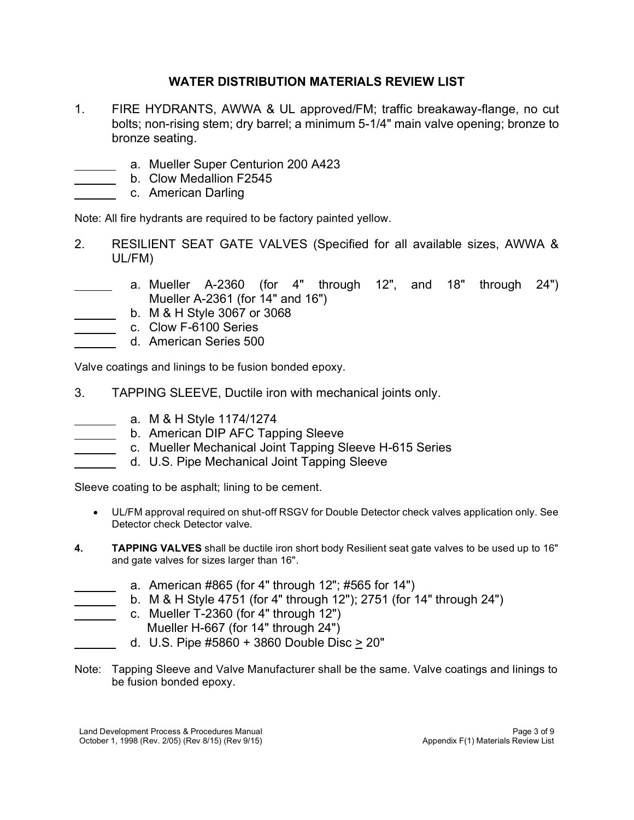## **WATER DISTRIBUTION MATERIALS REVIEW LIST**

- 1. FIRE HYDRANTS, AWWA & UL approved/FM; traffic breakaway-flange, no cut bolts; non-rising stem; dry barrel; a minimum 5-1/4" main valve opening; bronze to bronze seating.
	- a. Mueller Super Centurion 200 A423
	- b. Clow Medallion F2545
	- c. American Darling

 $\overline{a}$  $\overline{a}$  $\overline{a}$ 

 $\overline{a}$  $\overline{a}$  $\overline{a}$ 

 $\overline{a}$  $\overline{a}$  $\overline{a}$  $\overline{a}$ 

 $\overline{a}$  $\overline{a}$ 

 $\overline{a}$ 

Note: All fire hydrants are required to be factory painted yellow.

- 2. RESILIENT SEAT GATE VALVES (Specified for all available sizes, AWWA & UL/FM)
- a. Mueller A-2360 (for 4" through 12", and 18" through 24") Mueller A-2361 (for 14" and 16")
	- b. M & H Style 3067 or 3068
	- c. Clow F-6100 Series
	- d. American Series 500

Valve coatings and linings to be fusion bonded epoxy.

- 3. TAPPING SLEEVE, Ductile iron with mechanical joints only.
	- a. M & H Style 1174/1274
	- b. American DIP AFC Tapping Sleeve
	- c. Mueller Mechanical Joint Tapping Sleeve H-615 Series
		- d. U.S. Pipe Mechanical Joint Tapping Sleeve

Sleeve coating to be asphalt; lining to be cement.

- • UL/FM approval required on shut-off RSGV for Double Detector check valves application only. See Detector check Detector valve.
- **4. TAPPING VALVES** shall be ductile iron short body Resilient seat gate valves to be used up to 16" and gate valves for sizes larger than 16".
	- a. American #865 (for 4" through 12"; #565 for 14")
	- b. M & H Style 4751 (for 4" through 12"); 2751 (for 14" through 24")
- $\overline{a}$ c. Mueller T-2360 (for 4" through 12")
	- Mueller H-667 (for 14" through 24")
	- d. U.S. Pipe #5860 + 3860 Double Disc > 20"
- Note: Tapping Sleeve and Valve Manufacturer shall be the same. Valve coatings and linings to be fusion bonded epoxy.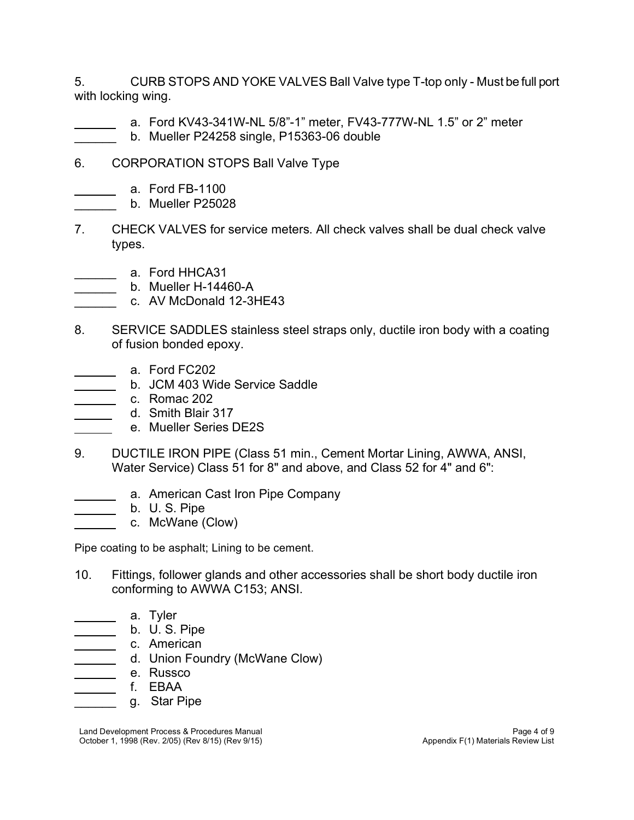5. CURB STOPS AND YOKE VALVES Ball Valve type T-top only - Must be full port with locking wing.

- $\overline{a}$ a. Ford KV43-341W-NL 5/8"-1" meter, FV43-777W-NL 1.5" or 2" meter
	- b. Mueller P24258 single, P15363-06 double
- 6. CORPORATION STOPS Ball Valve Type
	- a. Ford FB-1100

 $\overline{a}$ 

 $\overline{a}$  $\overline{a}$  $\overline{a}$ 

 $\overline{a}$  $\overline{a}$  $\overline{a}$ 

 $\overline{a}$  $\overline{a}$  $\overline{a}$  $\overline{a}$  $\overline{a}$  $\overline{a}$ 

- b. Mueller P25028
- 7. CHECK VALVES for service meters. All check valves shall be dual check valve types.
- \_\_\_\_\_\_ a. Ford HHCA31
- b. Mueller H-14460-A  $\frac{1}{2}$
- c. AV McDonald 12-3HE43  $\frac{1}{2}$
- 8. SERVICE SADDLES stainless steel straps only, ductile iron body with a coating of fusion bonded epoxy.
	- **a.** Ford FC202
	- b. JCM 403 Wide Service Saddle
- **c.** Romac 202
	- d. Smith Blair 317
	- e. Mueller Series DE2S
- 9. DUCTILE IRON PIPE (Class 51 min., Cement Mortar Lining, AWWA, ANSI, Water Service) Class 51 for 8" and above, and Class 52 for 4" and 6":
	- a. American Cast Iron Pipe Company
		- b. U. S. Pipe
		- c. McWane (Clow)

Pipe coating to be asphalt; Lining to be cement.

- 10. Fittings, follower glands and other accessories shall be short body ductile iron conforming to AWWA C153; ANSI.
	- a. Tyler
	- b. U. S. Pipe
	- c. American
		- d. Union Foundry (McWane Clow)
	- e. Russco
		- f. EBAA
- $\overline{\phantom{a}}$ g. Star Pipe

 Land Development Process & Procedures Manual Page 4 of 9 October 1, 1998 (Rev. 2/05) (Rev 8/15) (Rev 9/15) Appendix F(1) Materials Review List (Duranger 2015) Appendix F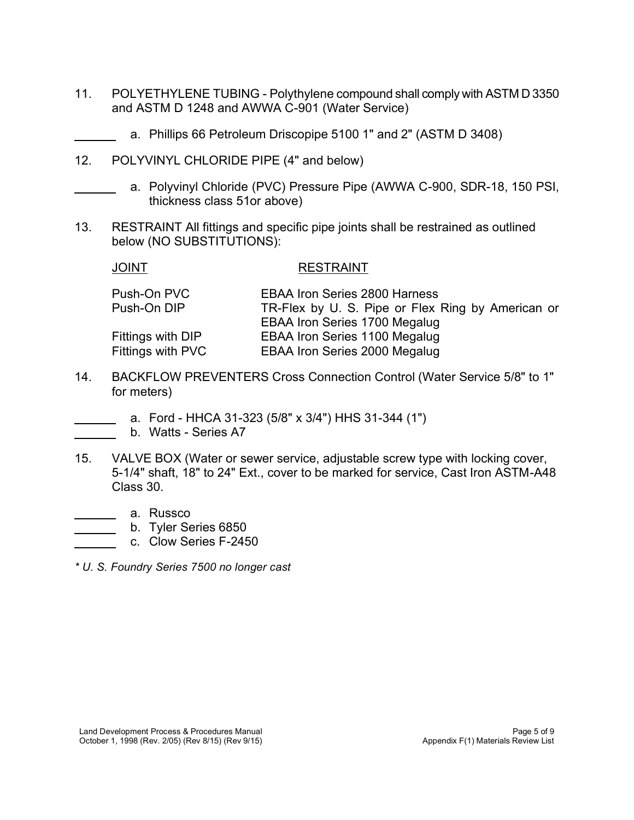- 11. POLYETHYLENE TUBING Polythylene compound shall comply with ASTM D 3350 and ASTM D 1248 and AWWA C-901 (Water Service)
	- a. Phillips 66 Petroleum Driscopipe 5100 1" and 2" (ASTM D 3408)
- 12. POLYVINYL CHLORIDE PIPE (4" and below)
	- a. Polyvinyl Chloride (PVC) Pressure Pipe (AWWA C-900, SDR-18, 150 PSI, thickness class 51or above)
- 13. RESTRAINT All fittings and specific pipe joints shall be restrained as outlined below (NO SUBSTITUTIONS):

 $\overline{a}$ 

 $\overline{a}$ 

 $\overline{a}$  $\overline{a}$ 

 $\overline{a}$  $\overline{a}$  $\overline{a}$ 

#### JOINT RESTRAINT

- Push-On PVC EBAA Iron Series 2800 Harness Push-On DIP TR-Flex by U. S. Pipe or Flex Ring by American or EBAA Iron Series 1700 Megalug Fittings with DIP EBAA Iron Series 1100 Megalug Fittings with PVC EBAA Iron Series 2000 Megalug
- 14. BACKFLOW PREVENTERS Cross Connection Control (Water Service 5/8" to 1" for meters)
	- a. Ford HHCA 31-323 (5/8" x 3/4") HHS 31-344 (1")
	- b. Watts Series A7
- 15. VALVE BOX (Water or sewer service, adjustable screw type with locking cover, 5-1/4" shaft, 18" to 24" Ext., cover to be marked for service, Cast Iron ASTM-A48 Class 30.
	- a. Russco
		- b. Tyler Series 6850
		- c. Clow Series F-2450
- *\* U. S. Foundry Series 7500 no longer cast*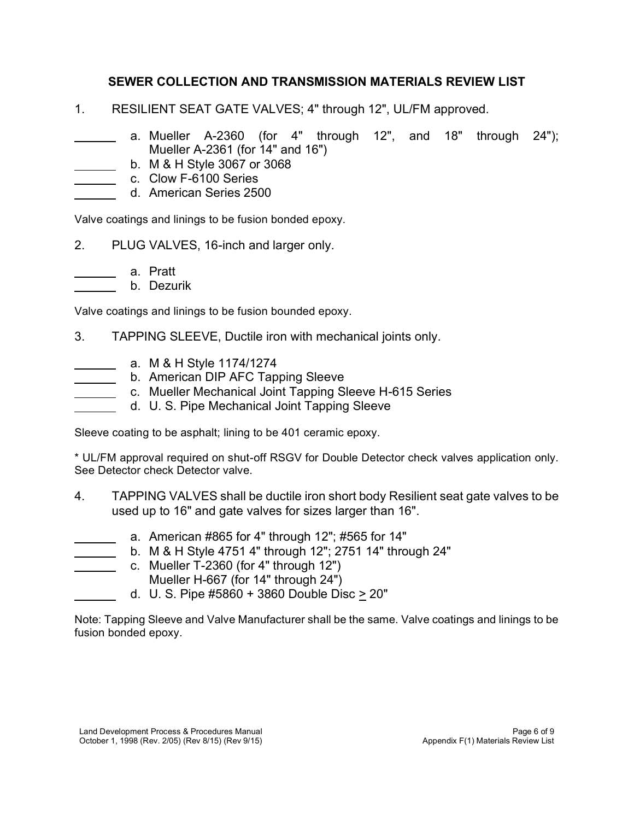## **SEWER COLLECTION AND TRANSMISSION MATERIALS REVIEW LIST**

- 1. RESILIENT SEAT GATE VALVES; 4" through 12", UL/FM approved.
- $\overline{a}$ a. Mueller A-2360 (for 4" through 12", and 18" through 24"); Mueller A-2361 (for 14" and 16")
	- b. M & H Style 3067 or 3068
- c. Clow F-6100 Series

 $\overline{a}$  $\overline{a}$  $\overline{a}$ 

 $\overline{a}$  $\overline{a}$ 

 $\overline{a}$  $\overline{a}$  $\overline{a}$  $\overline{a}$ 

 $\overline{a}$ 

 $\overline{a}$ 

d. American Series 2500

Valve coatings and linings to be fusion bonded epoxy.

- 2. PLUG VALVES, 16-inch and larger only.
	- a. Pratt
	- b. Dezurik

Valve coatings and linings to be fusion bounded epoxy.

- 3. TAPPING SLEEVE, Ductile iron with mechanical joints only.
	- a. M & H Style 1174/1274
	- b. American DIP AFC Tapping Sleeve
	- c. Mueller Mechanical Joint Tapping Sleeve H-615 Series
	- d. U. S. Pipe Mechanical Joint Tapping Sleeve

Sleeve coating to be asphalt; lining to be 401 ceramic epoxy.

\* UL/FM approval required on shut-off RSGV for Double Detector check valves application only. See Detector check Detector valve.

- 4. TAPPING VALVES shall be ductile iron short body Resilient seat gate valves to be used up to 16" and gate valves for sizes larger than 16".
	- a. American #865 for 4" through 12"; #565 for 14"
		- b. M & H Style 4751 4" through 12"; 2751 14" through 24"
- $\overline{a}$  $\overline{a}$ c. Mueller T-2360 (for 4" through 12")
	- Mueller H-667 (for 14" through 24")
	- d. U. S. Pipe #5860 + 3860 Double Disc > 20"

Note: Tapping Sleeve and Valve Manufacturer shall be the same. Valve coatings and linings to be fusion bonded epoxy.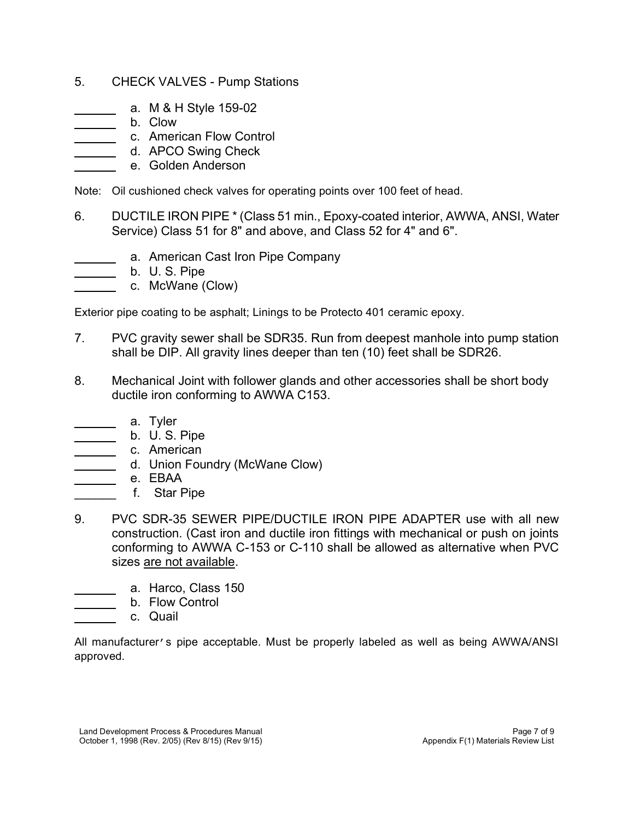## 5. CHECK VALVES - Pump Stations

- a. M & H Style 159-02
- b. Clow

 $\overline{a}$  $\overline{a}$  $\overline{a}$  $\overline{a}$  $\overline{a}$ 

 $\overline{a}$  $\overline{a}$  $\overline{a}$ 

 $\overline{a}$  $\overline{a}$  $\overline{a}$  $\overline{a}$  $\overline{a}$ 

 $\overline{a}$  $\overline{a}$  $\overline{a}$ 

- c. American Flow Control
	- d. APCO Swing Check
		- e. Golden Anderson

Note: Oil cushioned check valves for operating points over 100 feet of head.

- 6. DUCTILE IRON PIPE \* (Class 51 min., Epoxy-coated interior, AWWA, ANSI, Water Service) Class 51 for 8" and above, and Class 52 for 4" and 6".
	- a. American Cast Iron Pipe Company
		- b. U. S. Pipe
		- c. McWane (Clow)

Exterior pipe coating to be asphalt; Linings to be Protecto 401 ceramic epoxy.

- 7. PVC gravity sewer shall be SDR35. Run from deepest manhole into pump station shall be DIP. All gravity lines deeper than ten (10) feet shall be SDR26.
- 8. Mechanical Joint with follower glands and other accessories shall be short body ductile iron conforming to AWWA C153.
	- a. Tyler
	- b. U. S. Pipe
	- c. American
		- d. Union Foundry (McWane Clow)
			- e. EBAA
	- f. Star Pipe
- 9. PVC SDR-35 SEWER PIPE/DUCTILE IRON PIPE ADAPTER use with all new construction. (Cast iron and ductile iron fittings with mechanical or push on joints conforming to AWWA C-153 or C-110 shall be allowed as alternative when PVC sizes are not available.
	- a. Harco, Class 150
		- b. Flow Control
		- c. Quail

 All manufacturer's pipe acceptable. Must be properly labeled as well as being AWWA/ANSI approved.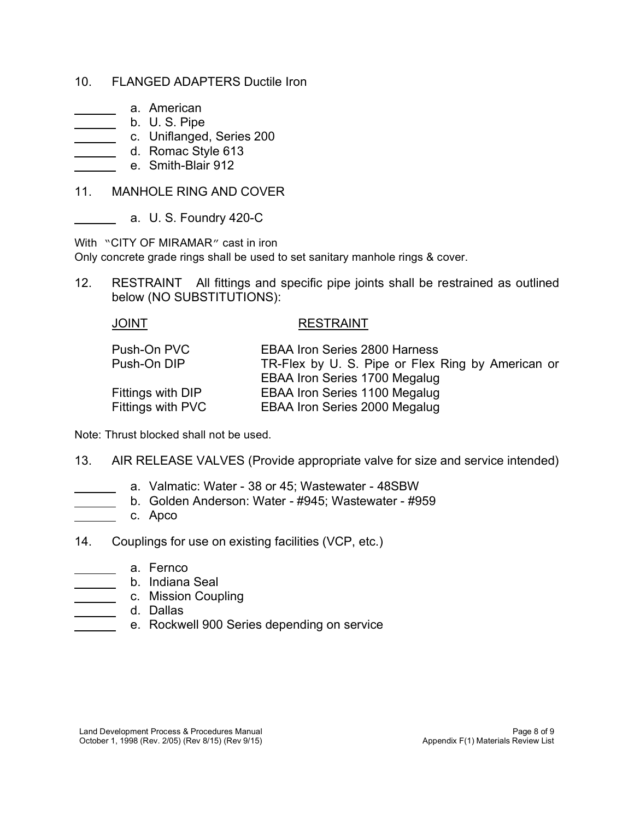#### 10. FLANGED ADAPTERS Ductile Iron

- a. American
- b. U. S. Pipe  $\overline{\phantom{a}}$

 $\overline{a}$  $\overline{a}$  $\overline{a}$  $\overline{a}$  $\overline{a}$ 

 $\overline{a}$ 

 $\overline{a}$  $\overline{a}$  $\overline{a}$ 

 $\overline{a}$  $\overline{a}$  $\overline{a}$  $\overline{a}$ 

- c. Uniflanged, Series 200
- d. Romac Style 613
	- e. Smith-Blair 912
- 11. MANHOLE RING AND COVER
	- a. U. S. Foundry 420-C

With "CITY OF MIRAMAR" cast in iron

Only concrete grade rings shall be used to set sanitary manhole rings & cover.

 12. RESTRAINT All fittings and specific pipe joints shall be restrained as outlined below (NO SUBSTITUTIONS):

| JOINT             | <b>RESTRAINT</b>                                  |
|-------------------|---------------------------------------------------|
| Push-On PVC       | <b>EBAA Iron Series 2800 Harness</b>              |
| Push-On DIP       | TR-Flex by U. S. Pipe or Flex Ring by American or |
|                   | <b>EBAA Iron Series 1700 Megalug</b>              |
| Fittings with DIP | <b>EBAA Iron Series 1100 Megalug</b>              |
| Fittings with PVC | <b>EBAA Iron Series 2000 Megalug</b>              |

Note: Thrust blocked shall not be used.

- 13. AIR RELEASE VALVES (Provide appropriate valve for size and service intended)
	- a. Valmatic: Water 38 or 45; Wastewater 48SBW
	- b. Golden Anderson: Water #945; Wastewater #959
	- c. Apco
- 14. Couplings for use on existing facilities (VCP, etc.)
- $\overline{\phantom{a}}$ a. Fernco
	- b. Indiana Seal  $\overline{\phantom{a}}$
	- **c.** Mission Coupling
	- d. Dallas
	- e. Rockwell 900 Series depending on service